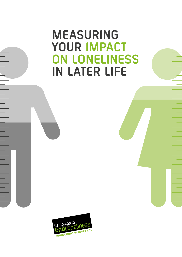# **MEASURING YOUR IMPACT ON LONELINESS IN LATER LIFE**



 $\equiv$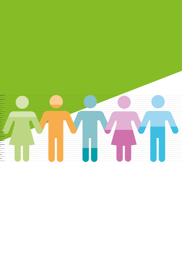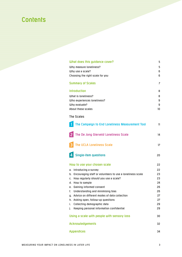## **Contents**

| What does this guidance cover?                                  | 5  |
|-----------------------------------------------------------------|----|
| <b>Why measure loneliness?</b>                                  | 5  |
| Why use a scale?                                                | 6  |
| Choosing the right scale for you                                | 6  |
| <b>Summary of Scales</b>                                        | 7  |
| Introduction                                                    | 8  |
| What is loneliness?                                             | 8  |
| Who experiences loneliness?                                     | 9  |
| <b>Why evaluate?</b>                                            | g  |
| About these scales                                              | 10 |
| <b>The Scales</b>                                               |    |
| The Campaign to End Loneliness Measurement Tool                 | 11 |
| The De Jong Gierveld Loneliness Scale                           | 14 |
| The UCLA Loneliness Scale                                       | 17 |
| <b>Single-item questions</b><br>$\overline{\mathbf{a}}$         | 20 |
| How to use your chosen scale                                    | 22 |
| Introducing a survey<br>а.                                      | 22 |
| Encouraging staff or volunteers to use a loneliness scale<br>b. | 23 |
| c. How regularly should you use a scale?                        | 23 |
| d. How to sample                                                | 24 |
| Gaining informed consent<br>e.                                  | 26 |
| Understanding and minimising bias<br>f.                         | 26 |
| Advice on different modes of data collection<br>g.              | 27 |
| h. Asking open, follow-up questions                             | 27 |
| Collecting demographic data<br>i.                               | 29 |
| Keeping personal information confidential<br>j.                 | 29 |
| Using a scale with people with sensory loss                     | 30 |
| <b>Acknowledgements</b>                                         | 32 |
| <b>Appendices</b>                                               | 34 |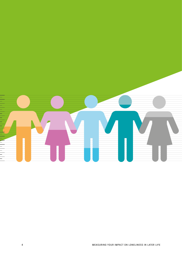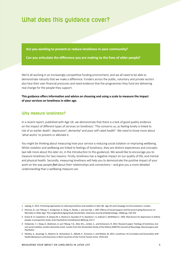## **What does this guidance cover?**

**Are you working to prevent or reduce loneliness in your community?**

**Can you articulate the difference you are making to the lives of older people?**

We're all working in an increasingly competitive funding environment, and we all need to be able to demonstrate robustly that we make a difference. Funders across the public, voluntary and private sectors also face their own financial pressures and need evidence that the programmes they fund are delivering real change for the people they support.

**This guidance offers information and advice on choosing and using a scale to measure the impact of your services on loneliness in older age.**

### **Why measure loneliness?**

In a recent report, published with Age UK, we demonstrate that there is a lack of good quality evidence on the impact of different types of services on loneliness.<sup>1</sup> This concerns us, as feeling lonely is linked to risk of an earlier death<sup>2</sup>, depression<sup>3</sup>, dementia<sup>4</sup> and poor self-rated health<sup>5</sup>. We need to know more about 'what works' to prevent or alleviate it.

You might be thinking about measuring how your service is reducing social isolation or improving wellbeing. Whilst isolation and wellbeing are linked to feelings of loneliness, they are distinct experiences and concepts (we talk more about this later on, in the Introduction to this guidance). We would like to encourage you to measure loneliness for two reasons. Firstly, loneliness has a negative impact on our quality of life, and mental and physical health. Secondly, measuring loneliness will help you to demonstrate the positive impact of your work on the way people *feel* about their relationships and connections – and give you a more detailed understanding than a wellbeing measure can.

<sup>1</sup> Jopling, K. 2015. *Promising approaches to reducing loneliness and isolation in later life.* Age UK and Campaign to End Loneliness: London.

<sup>2</sup>  Penninx, B., van Tilburg, T., Kriegsman, D. Deeg, D., Boeke, J. and van Eijk, J. 1997. Effects of Social Support and Personal Coping Resources on Mortality in Older Age: The Longitudinal Aging Study Amsterdam. *American Journal of Epidemiology*. 146(6) pp. 510-519

<sup>3</sup>  Green B. H, Copeland J. R, Dewey M. E, Shamra V, Saunders P. A, Davidson I. A, Sullivan C, McWilliam C. 1992. Risk factors for depression in elderly people: A prospective study. *Acta Psychiatrica Scandinavica* 86(3) pp.213–7

<sup>4</sup>  Holwerda, T. J. Deeg, D., Beekman, A. van Tilburg, T.G., Stek, M.L., Jonker, C., and Schoevers, R. 2012. Research paper: Feelings of loneliness, but not social isolation, predict dementia onset: results from the Amsterdam Study of the Elderly (AMSTEL) *Journal of Neurology, Neurosurgery and Psychiatry* 

<sup>5</sup>  Stickley, A., Koyanagi, A., Roberts, B., Richardson, E., Abbott, P., Tumanov, S. and McKee, M. 2013. Loneliness: Its Correlates and Association with Health Behaviours and Outcomes in Nine Countries of the Former Soviet Union. *PLOS One*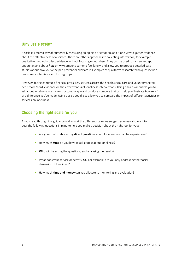### **Why use a scale?**

A scale is simply a way of numerically measuring an opinion or emotion, and it one way to gather evidence about the effectiveness of a service. There are other approaches to collecting information, for example qualitative methods collect evidence without focusing on numbers. They can be used to gain an in-depth understanding about *how* or *why* someone came to feel lonely, and allow you to produce detailed case studies about how you've helped prevent or alleviate it. Examples of qualitative research techniques include one-to-one interviews and focus groups.

However, facing continued financial pressures, services across the health, social care and voluntary sectors need more 'hard' evidence on the effectiveness of loneliness interventions. Using a scale will enable you to ask about loneliness in a more structured way – and produce numbers that can help you illustrate *how much* of a difference you've made. Using a scale could also allow you to compare the impact of different activities or services on loneliness.

### **Choosing the right scale for you**

As you read through this guidance and look at the different scales we suggest, you may also want to bear the following questions in mind to help you make a decision about the right tool for you:

- Are you comfortable asking **direct questions** about loneliness or painful experiences?
- How much **time** do you have to ask people about loneliness?
- **Who** will be asking the questions, and analysing the results?
- What does your service or activity **do**? For example, are you only addressing the 'social' dimension of loneliness?
- How much **time and money** can you allocate to monitoring and evaluation?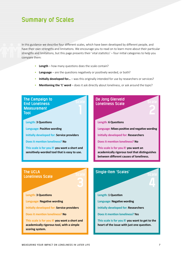## **Summary of Scales**

In this guidance we describe four different scales, which have been developed by different people, and have their own strengths and limitations. We encourage you to read on to learn more about their particular strengths and limitations, but this page presents their 'vital statistics' – four initial categories to help you compare them:

- **Length** how many questions does the scale contain?
- **Language** are the questions negatively or positively worded, or both?
- **Initially developed for...** was this originally intended for use by researchers or services?
- **Mentioning the 'L' word** does it ask directly about loneliness, or ask around the topic?

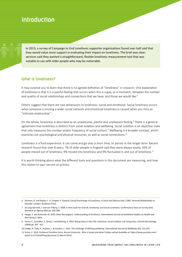## **Introduction**



In 2013, a survey of Campaign to End Loneliness supporter organisations found over half said that they would value more support in evaluating their impact on loneliness. The brief was clear: services said they wanted a straightforward, flexible loneliness measurement tool that was suitable to use with older people who may be vulnerable.

### **What is loneliness?**

It may surprise you to learn that there is no agreed definition of "loneliness" in research. One explanation of loneliness is that it is a painful feeling that occurs when this is a gap, or a mismatch, between the number and quality of social relationships and connections that we have, and those we would like.<sup>6</sup>

Others suggest that there are two dimensions to loneliness: social and emotional. Social loneliness occurs when someone is missing a wider social network and emotional loneliness is caused when you miss an "intimate relationship".<sup>7</sup>

On the whole, loneliness is described as an unwelcome, painful and unpleasant feeling.<sup>8</sup> There is a general agreement that loneliness is distinct from social isolation and wellbeing. Social isolation is an objective state that only measures the number and/or frequency of social contact.<sup>9</sup> Wellbeing is a broader concept, which examines our psychological and physical resources, as well as social connections.<sup>10</sup>

Loneliness is a fluid experience: it can come and go over a short time, or persist in the longer term. Recent research found that over 8 years, 7% of older people in England said they were always lonely, 10% of people moved out of loneliness, 9% moved into loneliness and 9% fluctuated in and out of loneliness.<sup>11</sup>

It is worth thinking about what the different tools and questions in this document are measuring, and how this relates to your service or activity.

<sup>6</sup>  Perlman, D. and Peplau, L. A. Chapter 2: Toward a Social Psychology of Loneliness, in Duck and Gilmour (eds.) 1981. *Personal Relationships in Disorder.* London: Academic Press.

<sup>7</sup>  de Jong Gierveld, J. and van Tilburg, T. 2006. 6-Item Scale for Overall, Emotional, and Social Loneliness: Confirmatory Tests on Survey Data *Research on Ageing* 28(5) pp. 582-598

<sup>8</sup>  Hauge, S. and Kirkevold, M. 2010. Older Norwegians' understanding of loneliness. *International Journal of Qualitative Studies on Health and Well-being* 5: 4654

<sup>9</sup>  Victor, C., Scambler, S., Bond, J. and Bowling, A. 2001. Being alone in later life: loneliness, social isolation and living alone. *Clinical Gerontology* 10(04) pp. 407 - 417

<sup>10</sup> Dodge, R., Daly, A., Huyton, J., & Sanders, L. 2012. The challenge of defining wellbeing. *International Journal of Wellbeing* 2(3), 222-235.

<sup>11</sup> Victor, C. 2013. Professor Christina Victor, Brunel University - Who is lonely and when? [video online] Available at: https://www.youtube.com/ watch?v=U7u1kvDFAng [Accessed 15 March 2015]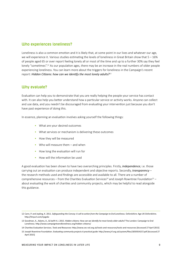### **Who experiences loneliness?**

Loneliness is also a common emotion and it is likely that, at some point in our lives and whatever our age, we will experience it. Various studies estimating the levels of loneliness in Great Britain show that  $5 - 16\%$ of people aged 65 or over report feeling lonely all or most of the time and up to a further 30% say they feel lonely "sometimes".<sup>12</sup> As our population ages, there may be an increase in the real numbers of older people experiencing loneliness. You can learn more about the triggers for loneliness in the Campaign's recent report: *Hidden Citizens: how can we identify the most lonely adults?*<sup>13</sup>

### **Why evaluate?**

Evaluation can help you to demonstrate that you are really helping the people your service has contact with. It can also help you better understand how a particular service or activity works. Anyone can collect and use data, and you needn't be discouraged from evaluating your intervention just because you don't have past experience of doing this.

In essence, planning an evaluation involves asking yourself the following things:

- What are your desired outcomes
- What services or mechanism is delivering these outcomes
- How they will be measured
- Who will measure them and when
- How long the evaluation will run for
- How will the information be used

A good evaluation has been shown to have two overarching principles. Firstly, *independence*, i.e. those carrying out an evaluation can produce independent and objective reports. Secondly, *transparency* – the research methods used and findings are accessible and available to all. There are a number of comprehensive resources – from the Charities Evaluation Services<sup>14</sup> and Joseph Rowntree Foundation<sup>15</sup> – about evaluating the work of charities and community projects, which may be helpful to read alongside this guidance.

<sup>12</sup> Cann, P. and Jopling, K. 2011. *Safeguarding the Convoy: A call to action from the Campaign to End Loneliness.* Oxfordshire: Age UK Oxfordshire. http://tinyurl.com/njsgx6z

<sup>13</sup> Goodman, A., Adams, A., & Swift H.J. 2015. *Hidden citizens: How can we identify he most lonely older adults?* The London: Campaign to End Loneliness. http://www.campaigntoendloneliness.org/hidden-citizens/

<sup>14</sup> Charities Evaluation Services. *Tools and Resources:* http://www.ces-vol.org.uk/tools-and-resources/tools-and-resources [Accessed 27 April 2015]

<sup>15</sup> Joseph Rowntree Foundation. *Evaluating community projects A practical guide:* http://www.jrf.org.uk/system/files/1859354157.pdf [Accessed 27 April 2015]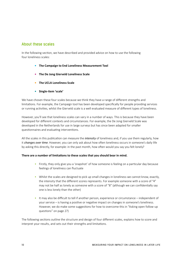### **About these scales**

In the following section, we have described and provided advice on how to use the following four loneliness scales:

- **• The Campaign to End Loneliness Measurement Tool**
- **• The De Jong Gierveld Loneliness Scale**
- **• The UCLA Loneliness Scale**
- **• Single-item 'scale'**

We have chosen these four scales because we think they have a range of different strengths and limitations. For example, the Campaign tool has been developed specifically for people providing services or running activities, whilst the Gierveld scale is a well evaluated measure of different types of loneliness.

However, you'll see that loneliness scales can vary in a number of ways. This is because they have been developed for different contexts and circumstances. For example, the De Jong Gierveld Scale was developed in the Netherlands for use in large surveys but has since been adapted for smaller questionnaires and evaluating interventions.

All the scales in this publication can measure the *intensity* of loneliness and, if you use them regularly, how it *changes over time*. However, you can only ask about how often loneliness occurs in someone's daily life by asking this directly, for example: in the past month, how often would you say you felt lonely?

### **There are a number of limitations to these scales that you should bear in mind.**

- Firstly, they only give you a 'snapshot' of how someone is feeling on a particular day because feelings of loneliness can fluctuate
- Whilst the scales are designed to pick up small changes in loneliness we cannot know, exactly, the intensity that the different scores represents. For example someone with a score of "4" may not be half as lonely as someone with a score of "8" (although we can confidentially say one is less lonely than the other)
- It may also be difficult to tell if another person, experience or circumstance independent of your service – is having a positive or negative impact on changes in someone's loneliness. However, we do make some suggestions for how to overcome this in "Asking open follow-up questions" on page 27)

The following sections outline the structure and design of four different scales, explains how to score and interpret your results, and sets out their strengths and limitations.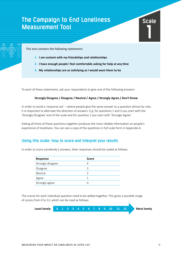## **The Campaign to End Loneliness Measurement Tool**

This tool contains the following statements:

- **1. I am content with my friendships and relationships**
- **2. I have enough people I feel comfortable asking for help at any time**
- **3. My relationships are as satisfying as I would want them to be**

To each of these statements, ask your respondents to give one of the following answers:

### **Strongly Disagree / Disagree / Neutral / Agree / Strongly Agree / Don't Know**

In order to avoid a 'response set' – where people give the same answer to a question almost by rote, it is important to alternate the direction of answers. E.g. for questions 1 and 3 you start with the 'Strongly Disagree' end of the scale and for question 2 you start with 'Strongly Agree'.

Asking all three of these questions together produces the most reliable information on people's experience of loneliness. You can see a copy of the questions in full scale form in Appendix A.

### **Using this scale: how to score and interpret your results**

In order to score somebody's answers, their responses should be coded as follows:

| Response          | <b>Score</b> |
|-------------------|--------------|
| Strongly disagree | 4            |
| Disagree          | Β            |
| Neutral           |              |
| Agree             |              |
| Strongly agree    |              |
|                   |              |

The scores for each individual question need to be added together. This gives a possible range of scores from 0 to 12, which can be read as follows:

| Least lonely 0 1 2 3 4 5 6 7 8 9 10 11 12 |  |  |  |  |  |  |  | <b>Most lonely</b> |
|-------------------------------------------|--|--|--|--|--|--|--|--------------------|
|                                           |  |  |  |  |  |  |  |                    |

**1**

**Scale**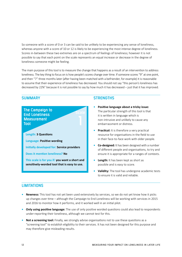So someone with a score of 0 or 3 can be said to be unlikely to be experiencing any sense of loneliness, whereas anyone with a score of 10 or 12 is likely to be experiencing the most intense degree of loneliness. Scores in-between these two extremes are on a spectrum of feelings of loneliness; however it is not possible to say that each point on the scale represents an equal increase or decrease in the degree of loneliness someone might be feeling.

The main purpose of this tool is to measure the change that happens as a result of an intervention to address loneliness. The key thing to focus on is how people's scores change over time. If someone scores "9" at one point, and then "7" three months later (after having been matched with a befriender, for example) it is reasonable to assume that their experience of loneliness has decreased. You should not say "this person's loneliness has decreased by 22%" because it is not possible to say by how much it has decreased – just that it has improved.

**Scale**

**The Campaign to End Loneliness Measurement Tool**

### **Length: 3 Questions**

**Language: Positive wording**

**Initially developed for: Service providers**

**Does it mention loneliness? No**

**This scale is for you if: you want a short and sensitively-worded tool that is easy to use.**

### **SUMMARY STRENGTHS**

- **• Positive language about a tricky issue:** The particular strength of this tool is that it is written in language which is non-intrusive and unlikely to cause any embarrassment or distress.
- **• Practical:** It is therefore a very practical resource for organisations in the field to use in their face-to-face work with older people.
- **• Co-designed:** It has been designed with a number of different people and organisations, to try and ensure it is appropriate for a ranges of contexts.
- **• Length:** It has been kept as short as possible and is easy to score.
- **• Validity:** The tool has undergone academic tests to ensure it is valid and reliable.

### **LIMITATIONS**

- **• Newness:** This tool has not yet been used extensively by services, so we do not yet know how it picks up changes over time – although the Campaign to End Loneliness will be working with services in 2015 and 2016 to monitor how it performs, and it worked well in an initial pilot.
- **• Only using positive language:** The use of only positive worded questions could also lead to respondents under-reporting their loneliness, although we cannot test for this.
- **• Not a screening tool:** Finally, we strongly advise organisations not to use these questions as a "screening tool" to establish eligibility to their services. It has not been designed for this purpose and may therefore give misleading results.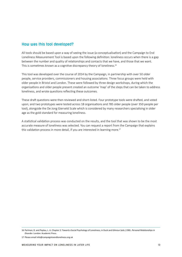### **How was this tool developed?**

All tools should be based upon a way of seeing the issue (a conceptualisation) and the Campaign to End Loneliness Measurement Tool is based upon the following definition: loneliness occurs when there is a gap between the number and quality of relationships and contacts that we have, and those that we want. This is sometimes known as a cognitive discrepancy theory of loneliness.<sup>16</sup>

This tool was developed over the course of 2014 by the Campaign, in partnership with over 50 older people, service providers, commissioners and housing associations. Three focus groups were held with older people in Bristol and London. These were followed by three design workshops, during which the organisations and older people present created an outcome 'map' of the steps that can be taken to address loneliness, and wrote questions reflecting these outcomes.

These draft questions were then reviewed and short-listed. Four prototype tools were drafted, and voted upon, and two prototypes were tested across 18 organisations and 785 older people (over 350 people per tool), alongside the De Jong Gierveld Scale which is considered by many researchers specialising in older age as the gold standard for measuring loneliness.

A statistical validation process was conducted on the results, and the tool that was shown to be the most accurate measure of loneliness was selected. You can request a report from the Campaign that explains this validation process in more detail, if you are interested in learning more.<sup>17</sup>

<sup>16</sup> Perlman, D. and Peplau, L. A. Chapter 2: Toward a Social Psychology of Loneliness, in Duck and Gilmour (eds.) 1981. *Personal Relationships in Disorder.* London: Academic Press.

<sup>17</sup> Please email info@campaigntoendloneliness.org.uk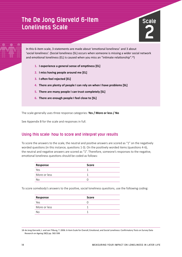## **The De Jong Gierveld 6-Item Loneliness Scale**





In this 6-item scale, 3 statements are made about 'emotional loneliness' and 3 about 'social loneliness'. (Social loneliness (SL) occurs when someone is missing a wider social network and emotional loneliness (EL) is caused when you miss an "intimate relationship".<sup>18</sup>)

- **1. I experience a general sense of emptiness [EL]**
- **2. I miss having people around me [EL]**
- **3. I often feel rejected [EL]**
- **4. There are plenty of people I can rely on when I have problems [SL]**
- **5. There are many people I can trust completely [SL]**
- **6. There are enough people I feel close to [SL]**

The scale generally uses three response categories: **Yes / More or less / No**

See Appendix B for the scale and responses in full.

### **Using this scale: how to score and interpret your results**

To score the answers to the scale, the neutral and positive answers are scored as "1" on the negatively worded questions (in this instance, questions 1-3). On the positively worded items (questions 4-6), the neutral and negative answers are scored as "1". Therefore, someone's responses to the negative, emotional loneliness questions should be coded as follows:

| Response     | <b>Score</b> |
|--------------|--------------|
| Yes          |              |
| More or less |              |
| No           |              |

To score somebody's answers to the positive, social loneliness questions, use the following coding:

| Response     | <b>Score</b> |
|--------------|--------------|
| Yes          |              |
| More or less |              |
| No           |              |

18 de Jong Gierveld, J. and van Tilburg, T. 2006. 6-Item Scale for Overall, Emotional, and Social Loneliness: Confirmatory Tests on Survey Data Research on Ageing 28(5) pp. 582-598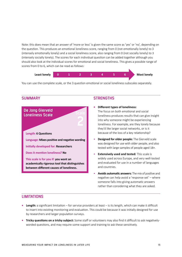Note: this does mean that an answer of 'more or less' is given the same score as 'yes' or 'no', depending on the question. This produces an emotional loneliness score, ranging from 0 (not emotionally lonely) to 3 (intensely emotionally lonely) and a social loneliness score, also ranging from 0 (not socially lonely) to 3 (intensely socially lonely). The scores for each individual question can be added together although you should also look at the individual scores for emotional and social loneliness. This gives a possible range of scores from 0 to 6, which can be read as follows:



You can use the complete scale, or the 3 question emotional or social loneliness subscales separately.



### **SUMMARY STRENGTHS**

- **• Different types of loneliness:** The focus on both emotional and social loneliness produces results that can give insight into why someone might be experiencing loneliness. For example, are they lonely because they'd like larger social networks, or is it because of the loss of a key relationship?
- **Designed for older people:** The Gierveld scale was designed for use with older people, and also tested with large samples of people aged 18+.
- **Extensively used and tested:** This scale is widely used across Europe, and very well-tested and evaluated for use in a number of languages and countries.
- **Avoids automatic answers:** The mix of positive and negative can help avoid a 'response set' – where someone falls into giving automatic answers rather than considering what they are asked.

### **LIMITATIONS**

- **• Length:** a significant limitation for service providers at least is its length, which can make it difficult to insert into existing monitoring and evaluation. This could be because it was initially designed for use by researchers and larger population surveys.
- **• Tricky questions on a tricky subject:** Some staff or volunteers may also find it difficult to ask negativelyworded questions, and may require some support and training to ask these sensitively.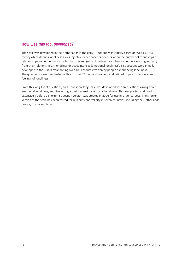### **How was this tool developed?**

The scale was developed in the Netherlands in the early 1980s and was initially based on Weiss's 1973 theory which defines loneliness as a subjective experience that occurs when the number of friendships or relationships someone has is smaller than desired (social loneliness) or when someone is missing intimacy from their relationships, friendships or acquaintances (emotional loneliness). 34 questions were initially developed in the 1980s by analysing over 100 accounts written by people experiencing loneliness. The questions were then tested with a further 59 men and women, and refined to pick up less intense feelings of loneliness.

From this long-list of questions, an 11 question-long scale was developed with six questions asking about emotional loneliness, and five asking about dimensions of social loneliness. This was piloted and used extensively before a shorter 6 question version was created in 2006 for use in larger surveys. The shorter version of the scale has been tested for reliability and validity in seven countries, including the Netherlands, France, Russia and Japan.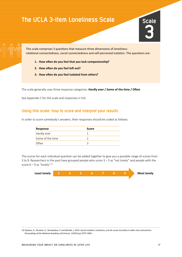## **The UCLA 3-Item Loneliness Scale**



This scale comprises 3 questions that measure three dimensions of loneliness: relational connectedness, social connectedness and self-perceived isolation. The questions are:

- **1. How often do you feel that you lack companionship?**
- **2. How often do you feel left out?**
- **3. How often do you feel isolated from others?**

The scale generally uses three response categories: **Hardly ever / Some of the time / Often**

See Appendix C for the scale and responses in full.

### **Using this scale: how to score and interpret your results**

In order to score somebody's answers, their responses should be coded as follows:

| Response         | <b>Score</b> |
|------------------|--------------|
| Hardly ever      |              |
| Some of the time |              |
| Often            |              |

The scores for each individual question can be added together to give you a possible range of scores from 3 to 9. Researchers in the past have grouped people who score 3 – 5 as "not lonely" and people with the score  $6 - 9$  as "lonely".<sup>19</sup>



19 Steptoe, A., Shankar, A., Demakakos, P. and Wardle, J. 2013. Social isolation, loneliness, and all-cause mortality in older men and women. *Proceedings of the National Academy of Sciences*. 110(15) pp.5797–5801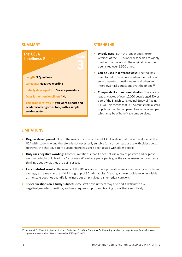

### **SUMMARY STRENGTHS**

- **• Widely used:** Both the longer and shorter versions of the UCLA loneliness scale are widely used across the world. The original paper has been cited over 1,500 times.
- **Can be used in different ways:** The tool has been found to be accurate when it is part of a self-completed questionnaire, and when an interviewer asks questions over the phone.<sup>20</sup>
- **• Comparability to national studies:** The scale is regularly asked of over 12,000 people aged 50+ as part of the English Longitudinal Study of Ageing (ELSA). This means that UCLA results from a small population can be compared to a national sample, which may be of benefit to some services.

### **LIMITATIONS**

- **• Original development:** One of the main criticisms of the full UCLA scale is that it was developed in the USA with students – and therefore is not necessarily suitable for a UK context or use with older adults. However, the shorter, 3-item questionnaire has since been tested with older people.
- **• Only uses negative wording:** Another limitation is that it does not use a mix of positive and negative wording, which could lead to a 'response set' – where participants give the same answer without really thinking about what they are being asked.
- **• Easy to distort results:** The results of the UCLA scale across a population are sometimes turned into an average, e.g. a mean score of 4.2 in a group of 30 older adults. Creating a mean could prove unreliable as the scale does not quantify loneliness but simply gives it a numerical category.
- **• Tricky questions on a tricky subject:** Some staff or volunteers may also find it difficult to ask negatively-worded questions, and may require support and training to ask these sensitively.

<sup>20</sup> Hughes, M. E., Waite, L. J., Hawkley, L. C. and Cacioppo, J. T. 2004. A Short Scale for Measuring Loneliness in Large Surveys: Results from two population-based studies. *Research on Ageing*. 26(6) pp.655-672.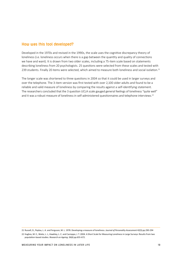### **How was this tool developed?**

Developed in the 1970s and revised in the 1990s, the scale uses the cognitive discrepancy theory of loneliness (i.e. loneliness occurs when there is a gap between the quantity and quality of connections we have and want). It is drawn from two older scales, including a 75-item scale based on statements describing loneliness from 20 psychologists. 25 questions were selected from these scales and tested with 239 students. Finally 20 items were selected, which aimed to measure both loneliness and social isolation.<sup>21</sup>

The longer scale was shortened to three questions in 2004 so that it could be used in larger surveys and over the telephone. The 3-item version was first tested with over 2,100 older adults and found to be a reliable and valid measure of loneliness by comparing the results against a self-identifying statement. The researchers concluded that the 3 question UCLA scale gauged general feelings of loneliness "quite well" and it was a robust measure of loneliness in self-administered questionnaires and telephone interviews.<sup>22</sup>

<sup>21</sup> Russell, D., Peplau, L. A. and Ferguson, M. L. 1978. Developing a measure of loneliness. *Journal of Personality Assessment* 42(3) pp.290-294 22 Hughes, M. E., Waite, L. J., Hawkley, L. C. and Cacioppo, J. T. 2004. A Short Scale for Measuring Loneliness in Large Surveys: Results from two population-based studies. *Research on Ageing*. 26(6) pp.655-672.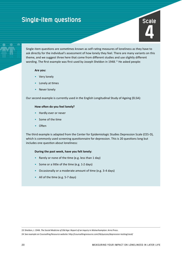## **Single-item questions Scale**





Single-item questions are sometimes known as self-rating measures of loneliness as they have to ask directly for the individual's assessment of how lonely they feel. There are many variants on this theme, and we suggest three here that come from different studies and use slightly different wording. The first example was first used by Joseph Sheldon in 1948.<sup>23</sup> He asked people:

### **Are you:**

- Very lonely
- Lonely at times
- **Never lonely**

Our second example is currently used in the English Longitudinal Study of Ageing (ELSA):

### **How often do you feel lonely?**

- Hardly ever or never
- Some of the time
- Often

The third example is adapted from the Center for Epidemiologic Studies Depression Scale (CES-D), which is commonly used screening questionnaire for depression. This is 20 questions long but includes one question about loneliness:

### **During the past week, have you felt lonely:**

- Rarely or none of the time (e.g. less than 1 day)
- Some or a little of the time (e.g. 1-2 days)
- Occasionally or a moderate amount of time (e.g. 3-4 days)
- All of the time (e.g. 5-7 days)

<sup>23</sup> Sheldon, J. 1948. *The Social Medicine of Old Age: Report of an Inquiry in Wolverhampton*. Arno Press.

<sup>24</sup> See example on Counselling Resource website: http://counsellingresource.com/lib/quizzes/depression-testing/cesd/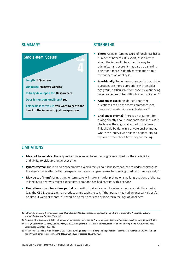

### **SUMMARY STRENGTHS**

- **• Short:** A single-item measure of loneliness has a number of benefits. It is short, asks directly about the issue of interest and is easy to administer and score. It may also be a starting point for a more in-depth conversation about experiences of loneliness.
- **• Age-friendly:** Some research suggests that single questions are more appropriate with an older age group, particularly if someone is experiencing cognitive decline or has difficulty communicating.<sup>25</sup>
- **• Academics use it:** Single, self-reporting questions are also the most commonly used measure in academic research studies.<sup>26</sup>
- **• Challenges stigma?** There is an argument for asking directly about someone's loneliness as it challenges the stigma attached to the issues. This should be done in a private environment, where the interviewee has the opportunity to explain further about how they are feeling.

### **LIMITATIONS**

- **• May not be reliable:** These questions have never been thoroughly examined for their reliability, and ability to pick up change over time.
- **• Ignores stigma?** There is also a concern that asking directly about loneliness can lead to underreporting, as the stigma that is attached to the experience means that people may be unwilling to admit to feeling lonely.<sup>27</sup>
- **• May be too 'blunt':** Using a single-item scale will make it harder pick up on smaller gradations of change in loneliness, that you might expect after someone has had contact with a service.
- **• Limitations of adding a time period:** a question that asks about loneliness over a certain time period (e.g. the CES-D question) may produce a misleading result, if that person has had an unusually stressful or difficult week or month.<sup>28</sup> It would also fail to reflect any long term feelings of loneliness.

<sup>25</sup> Holmen, K., Ericsson, K., Andersson, L., and Winblad, B. 1992. Loneliness among elderly people living in Stockholm: A population study. *Journal of Advanced Nursing 17* pp.43-51

<sup>26</sup> Pinquart, M. & Sorenson, S. 2001. Influences on loneliness in older adults: A meta-analysis. Basic and Applied Social Psychology 23 pp.245-266.

<sup>27</sup> Victor, C., Scambler, S., Bond, J. and Bowing, A. 2001. Being alone in later life: loneliness, social isolation and living alone. *Reviews in Clinical Gerontology* 10(04) pp. 407 - 417

<sup>28</sup> Pikhartova, J., Bowling, A. and Victor, C. 2014. Does owning a pet protect older people against loneliness? *BMC Geriatrics* 14(106) Available at: http://www.biomedcentral.com/1471-2318/14/106#B11 [Accessed 21 April 2015]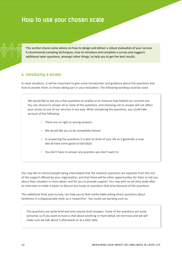## **How to use your chosen scale**



This section shares some advice on how to design and deliver a robust evaluation of your service. It recommends sampling techniques, how to introduce and complete a survey and suggests additional open questions, amongst other things, to help you to get the best results.

### **a. Introducing a survey**

In most situations, it will be important to give some introduction and guidance about the questions and how to answer them, to those taking part in your evaluation. The following wording could be used:

We would like to ask you a few questions to enable us to measure how helpful our services are. You can choose to answer all or none of the questions, and choosing not to answer will not affect your access to any of our services in any way. When answering the questions, you could take account of the following:

- There are no right or wrong answers
- We would like you to be completely honest
- In answering the questions it is best to think of your life as it generally is now (we all have some good or bad days)
- You don't have to answer any question you don't want to

You may like to remind people being interviewed that the research questions are separate from the rest of the support offered by your organisation, and that there will be other opportunities for them to tell you about their situation in more detail, and for you to provide support. You may wish to set time aside after an interview to make it easier to discuss any issues or questions that arise because of the questions.

This additional time, post-survey, can help you to feel comfortable asking direct questions about loneliness in a dispassionate style, as a 'researcher'. You could use wording such as:

The questions are quite brief and only require brief answers. Some of the questions are quite personal, so if you want to have a chat about anything in more detail, let me know and we will make sure we talk about it afterwards or at a later date.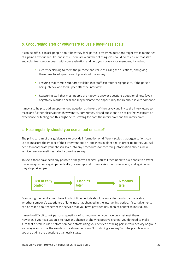### **b. Encouraging staff or volunteers to use a loneliness scale**

It can be difficult to ask people about how they feel, particularly when questions might evoke memories of a painful experience like loneliness. There are a number of things you could do to ensure that staff and volunteers get on board with your evaluation and help you survey your members, including:

- Clearly explaining to them the purpose and value of asking the questions, and giving them time to ask questions of you about the survey
- Ensuring that there is support available that staff can offer or signpost to, if the person being interviewed feels upset after the interview
- Reassuring staff that most people are happy to answer questions about loneliness (even negatively-worded ones) and may welcome the opportunity to talk about it with someone

It may also help to add an open-ended question at the end of the survey and invite the interviewee to make any further observations they want to. Sometimes, closed questions do not perfectly capture an experience or feeling and this might be frustrating for both the interviewer and the interviewee.

### **c. How regularly should you use a tool or scale?**

The principal aim of this guidance is to provide information on different scales that organisations can use to measure the impact of their interventions on loneliness in older age. In order to do this, you will need to incorporate your chosen scale into any procedures for recording information about a new service user – sometimes called a baseline survey.

To see if there have been any positive or negative changes, you will then need to ask people to answer the same questions again periodically (for example, at three or six monthly intervals) and again when they stop taking part.



Comparing the results over these kinds of time periods should allow a decision to be made about whether someone's experience of loneliness has changed in the intervening period. If so, judgements can be made about whether the service that you have provided has been of benefit to individuals.

It may be difficult to ask personal questions of someone when you have only just met them. However, if your evaluation is to have any chance of showing positive change, you do need to make sure that a scale is used before someone starts using your service or taking part in your activity or group. You may want to use the words in the above section – "Introducing a survey" – to help explain why you are asking the questions at an early stage.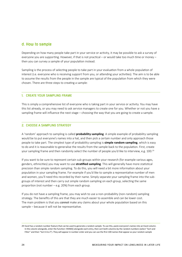### **d. How to sample**

Depending on how many people take part in your service or activity, it may be possible to ask a survey of everyone you are supporting. However, if that is not practical – or would take too much time or money – then you can survey a sample of your population instead.

Sampling is the process of selecting people to take part in your evaluation from a whole population of interest (i.e. everyone who is receiving support from you, or attending your activities). The aim is to be able to assume the results from the people in the sample are typical of the population from which they were chosen. There are three steps to creating a sample:

### **1. CREATE YOUR SAMPLING FRAME**

This is simply a comprehensive list of everyone who is taking part in your service or activity. You may have this list already, or you may need to ask service managers to create one for you. Whether or not you have a sampling frame will influence the next stage – choosing the way that you are going to create a sample.

### **2. CHOOSE A SAMPLING STRATEGY**

A 'random' approach to sampling is called **probability sampling**. A simple example of probability sampling would be to put everyone's names into a hat, and then pick a certain number and only approach those people to take part. The simplest type of probability sampling is **simple random sampling**, which is easy to do and it is reasonable to generalise the results from the sample back to the population. First, create your sampling frame and then randomly select the number of people you'd like to interview, e.g. 100.<sup>29</sup>

If you want to be sure to represent certain sub-groups within your research (for example various ages, genders, ethnicities) you may want to use **stratified sampling**. This will generally have more statistical precision than simple random sampling. To do this, you will need a bit more information about your population in your sampling frame. For example if you'd like to sample a representative number of men and women, you'll need this recorded by their name. Simply separate your sampling frame into the subgroups of interest and then carry out simple random sampling on each group, selecting the same proportion (not number – e.g. 20%) from each group.

If you do not have a sampling frame, you may wish to use a non-probability (non-random) sampling strategy. The benefits of this are that they are much easier to assemble and can be lower cost. The main problem is that you *cannot* make any claims about your whole population based on this sample – because it will not be representative.

<sup>29</sup> Excel has a random number feature that can be used to generate a random sample. To use this, paste everyone's names into an Excel column. In the column alongside, enter the function =RAND() alongside each entry, then sort both columns by the random numbers (select "Sort and Filter" and then "Sort A to Z"). They will appear in number order and you can use the first 100 names that appear as your random sample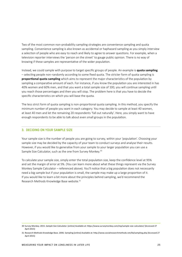Two of the most common non-probability sampling strategies are convenience sampling and quota sampling. Convenience sampling is also known as accidental or haphazard sampling as you simply interview a selection of people who are easy to reach and likely to agree to answer questions. For example, when a television reporter interviews the 'person on the street' to gauge public opinion. There is no way of knowing if these samples are representative of the wider population.

Instead, we could sample with purpose to target specific groups of people. An example is **quota sampling** – selecting people non-randomly according to some fixed quota. The stricter form of quota sampling is **proportional quota sampling** which aims to represent the major characteristics of the population by sampling a comparative amount of each. For instance, if you know the population you are interested in has 40% women and 60% men, and that you want a total sample size of 100, you will continue sampling until you reach those percentages and then you will stop. The problem here is that you have to decide the specific characteristics on which you will base the quota.

The less strict form of quota sampling is non-proportional quota sampling. In this method, you specify the minimum number of people you want in each category. You may decide to sample at least 40 women, at least 40 men and let the remaining 20 respondents 'fall out naturally'. Here, you simply want to have enough respondents to be able to talk about even small groups in the population.

### **3. DECIDING ON YOUR SAMPLE SIZE**

Your sample size is the number of people you are going to survey, within your 'population'. Choosing your sample size may be decided by the capacity of your team to conduct surveys and analyse their results. However, if you would like to generalise from your sample to your larger population you can use a Sample Size Calculator, such as the one from Survey Monkey.<sup>30</sup>

To calculate your sample size, simply enter the total population size, keep the confidence level at 95% and set the margin of error at 5%. (You can learn more about what these things represent via the Survey Monkey Sample Calculator – referenced above). You'll notice that a big population does not necessarily need a big sample but if your population is small, the sample may make up a large proportion of it. If you would like to learn a bit more about the principles behind sampling, we'd recommend the Research Methods Knowledge Base website.<sup>31</sup>

<sup>30</sup> Survey Monkey. 2015. *Sample Size Calculator*. [online] Available at: https://www.surveymonkey.com/mp/sample-size-calculator/ [Accessed 27 April 2015]

<sup>31</sup> Research Methods Knowledge Base. 2006. Sampling [online] Available at: http://www.socialresearchmethods.net/kb/sampling.php [Accessed 27 April 2015]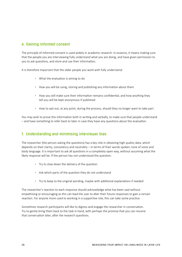### **e. Gaining informed consent**

The principle of informed consent is used widely in academic research. In essence, it means making sure that the people you are interviewing fully understand what you are doing, and have given permission to you to ask questions, and store and use their information.

It is therefore important that the older people you work with fully understand:

- What the evaluation is aiming to do
- How you will be using, storing and publishing any information about them
- How you will make sure their information remains confidential, and how anything they tell you will be kept anonymous if published
- How to opt-out, at any point, during the process, should they no longer want to take part

You may wish to prove this information both in writing and verbally, to make sure that people understand – and have something to refer back to later in case they have any questions about the evaluation.

### **f. Understanding and minimising interviewer bias**

The researcher (the person asking the questions) has a key role in obtaining high quality data, which depends on their clarity, consistency and neutrality – in terms of their words spoken, tone of voice and body language. It is important to ask all questions in a completely open way, without assuming what the likely response will be. If the person has not understood the question:

- Try to slow down the delivery of the question
- Ask which parts of the question they do not understand
- Try to keep to the original wording, maybe with additional explanations if needed

The researcher's reaction to each response should acknowledge what has been said without empathising or encouraging as this can lead the user to alter their future responses to gain a certain reaction. For anyone more used to working in a supportive role, this can take some practice.

Sometimes research participants will like to digress and engage the researcher in conversation. Try to gently bring them back to the task in hand, with perhaps the promise that you can resume that conversation later, after the research questions.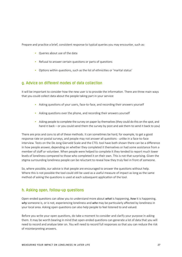Prepare and practice a brief, consistent response to typical queries you may encounter, such as:

- Queries about use of the data
- Refusal to answer certain questions or parts of questions
- Options within questions, such as the list of ethnicities or 'marital status'

### **g. Advice on different modes of data collection**

It will be important to consider how the new user is to provide the information. There are three main ways that you could collect data about the people taking part in your service:

- Asking questions of your users, face-to-face, and recording their answers yourself
- Asking questions over the phone, and recording their answers yourself
- Asking people to complete the survey on paper by themselves (they could do this on the spot, and hand it back – or you could send them the survey by post and ask them to send it back to you)

There are pros and cons to all of these methods. It can sometimes be hard, for example, to get a good response rate on postal surveys, and people may not answer all questions - unlike in a face-to-face interview. Tests on the De Jong Gierveld Scale and the CTEL tool have both shown there can be a difference in how people answer, depending on whether they completed it themselves or had some assistance from a member of staff or volunteer. When people were helped to complete it they tended to report much lower levels of loneliness compared to those who completed it on their own. This is not that surprising. Given the stigma surrounding loneliness people can be reluctant to reveal how they truly feel in front of someone.

So, where possible, our advice is that people are encouraged to answer the questions without help. Where this is not possible the tool could still be used as a useful measure of impact as long as the same method of asking the questions is used at each subsequent application of the tool.

### **h. Asking open, follow-up questions**

Open-ended questions can allow you to understand more about *what* is happening, *how* it is happening, *why* someone is, or is not, experiencing loneliness and *who* may be particularly affected by loneliness in your local area. Asking open questions can also help people to feel listened to and valued.

Before you write your open questions, do take a moment to consider and clarify your purpose in asking them. It may be worth bearing in mind that open-ended questions can generate a lot of data that you will need to record and analyse later on. You will need to record full responses so that you can reduce the risk of misinterpreting answers.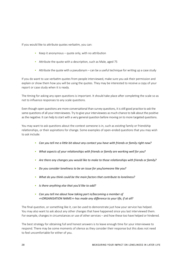If you would like to attribute quotes verbatim, you can:

- Keep it anonymous quote only, with no attribution
- Attribute the quote with a description, such as Male, aged 75
- Attribute the quote with a pseudonym  $-$  can be a useful technique for writing up a case study

If you do want to use verbatim quotes from people interviewed, make sure you ask their permission and explain or show them how you will be using the quotes. They may be interested to receive a copy of your report or case study when it is ready.

The timing for asking any open questions is important. It should take place after completing the scale so as not to influence responses to any scale questions.

Even though open questions are more conversational than survey questions, it is still good practice to ask the same questions of all your interviewees. Try to give your interviewees as much chance to talk about the positive as the negative. It can help to start with a very general question before moving on to more targeted questions.

You may want to ask questions about the context someone is in, such as existing family or friendship relationships, or their aspirations for change. Some examples of open-ended questions that you may wish to ask include:

- *• Can you tell me a little bit about any contact you have with friends or family right now?*
- *• What aspects of your relationships with friends or family are working well for you?*
- *• Are there any changes you would like to make to those relationships with friends or family?*
- *• Do you consider loneliness to be an issue for you/someone like you?*
- *• What do you think could be the main factors that contribute to loneliness?*
- *• Is there anything else that you'd like to add?*
- *• Can you tell me about how taking part in/becoming a member of <<ORGANISATION NAME>> has made any difference to your life, if at all?*

The final question, or something like it, can be used to demonstrate just how your service has helped. You may also want to ask about any other changes that have happened since you last interviewed them. For example, changes in circumstances or use of other services – and how these too have helped or hindered.

The best strategy for obtaining full and honest answers is to leave enough time for your interviewee to respond. There may be some moments of silence as they consider their response but this does not need to feel uncomfortable for either of you.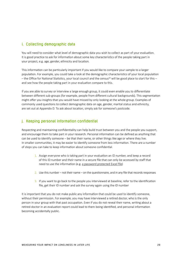### **i. Collecting demographic data**

You will need to consider what level of demographic data you wish to collect as part of your evaluation. It is good practice to ask for information about some key characteristics of the people taking part in your project, e.g. age, gender, ethnicity and location.

This information can be particularly important if you would like to compare your sample to a larger population. For example, you could take a look at the demographic characteristics of your local population – the Office for National Statistics, your local council and the census<sup>32</sup> will be good place to start for this – and see how the people taking part in your evaluation compare to this.

If you are able to survey or interview a large enough group, it could even enable you to differentiate between different sub-groups (for example, people from different cultural backgrounds). This segmentation might offer you insights that you would have missed by only looking at the whole group. Examples of commonly used questions to collect demographic data on age, gender, marital status and ethnicity, are set out at Appendix D. To ask about location, simply ask for someone's postcode.

### **j. Keeping personal information confidential**

Respecting and maintaining confidentiality can help build trust between you and the people you support, and encourage them to take part in your research. Personal information can be defined as anything that can be used to identify someone – be that their name, or other things like age or where they live. In smaller communities, it may be easier to identify someone from less information. There are a number of steps you can take to keep information about someone confidential.

- 1. Assign everyone who is taking part in your evaluation an ID number, and keep a record of this ID number and their name in a secure file that can only be accessed by staff that need to use the information (e.g. [a password protected Excel file](http://www.online-tech-tips.com/ms-office-tips/the-password-you-can-always-remember/))
- 2. Use this number not their name on the questionnaire, and in any file that records responses
- 3. If you want to go back to the people you interviewed at baseline, refer to the identification file, get their ID number and ask the survey again using the ID number

It is important that you do not make public any information that could be used to identify someone, without their permission. For example, you may have interviewed a retired doctor, who is the only person in your group with that past occupation. Even if you do not reveal their name, writing about a retired doctor in an evaluation report could lead to them being identified, and personal information becoming accidentally public.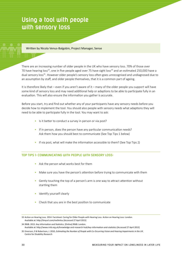## **Using a tool with people with sensory loss**

### Written by Nicola Venus-Balgobin, Project Manager, Sense

There are an increasing number of older people in the UK who have sensory loss. 70% of those over 70 have hearing loss<sup>33</sup>, one in five people aged over 75 have sight loss<sup>34</sup> and an estimated 250,000 have a dual sensory loss<sup>35</sup>. However older people's sensory loss often goes unrecognised and undiagnosed due to an assumption by staff, and older people themselves, that it is a common part of ageing.

It is therefore likely that – even if you aren't aware of it – many of the older people you support will have some kind of sensory loss and may need additional help or adaptions to be able to participate fully in an evaluation. This will also ensure the information you gather is accurate.

Before you start, try and find out whether any of your participants have any sensory needs before you decide how to implement the tool. You should also people with sensory needs what adaptions they will need to be able to participate fully in the tool. You may want to ask:

- Is it better to conduct a survey in person or via post?
- If in person, does the person have any particular communication needs? Ask them how you should best to communicate (See Top Tips 1 below)
- If via post, what will make the information accessible to them? (See Top Tips 2)

### **TOP TIPS 1: COMMUNICATING WITH PEOPLE WITH SENSORY LOSS:**

- Ask the person what works best for them
- Make sure you have the person's attention before trying to communicate with them
- Gently touching the top of a person's arm is one way to attract attention without startling them
- Identify yourself clearly
- Check that you are in the best position to communicate

<sup>33</sup> Action on Hearing Loss. 2014. Factsheet: Caring for Older People with Hearing Loss. Action on Hearing Loss: London. Available at: http://tinyurl.com/me9mlou [Accessed 27 April 2015]

<sup>34</sup> RNIB. 2015. Key Information and Statistics. [Online] RNIB: London. Available at: http://www.rnib.org.uk/knowledge-and-research-hub/key-information-and-statistics [Accessed 27 April 2015]

<sup>35</sup> Emerson, E & Robertson, J. 2010, *Estimating the Number of People with Co-Occurring Vision and Hearing Impairments in the UK*. Centre for Disability Research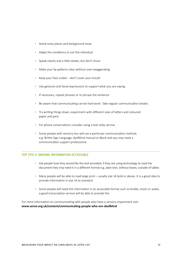- Avoid noisy places and background noise
- Adapt the conditions to suit the individual
- Speak clearly and a little slower, but don't shout
- Make your lip patterns clear without over-exaggerating
- Keep your face visible don't cover your mouth
- Use gestures and facial expressions to support what you are saying
- If necessary, repeat phrases or re-phrase the sentence
- Be aware that communicating can be hard work. Take regular communication breaks
- Try writing things down, experiment with different sizes of letters and coloured paper and pens
- For phone conversations consider using a text relay service
- Some people with sensory loss will use a particular communication method, e.g. British Sign Language, deafblind manual or Block and you may need a communication support professional.

### **TOP TIPS 2: MAKING INFORMATION ACCESSIBLE**

- Ask people how they would like the tool provided; if they are using technology to read the document they may need it in a different format e.g. plain text, without boxes, outside of tables
- Many people will be able to read large print usually size 14 bold or above. It is a good idea to provide information in size 14 as standard
- Some people will need the information in an accessible format such as braille, moon or audio, a good transcription service will be able to provide this

For more information on communicating with people who have a sensory impairment visit: **www.sense.org.uk/content/communicating-people-who-are-deafblind**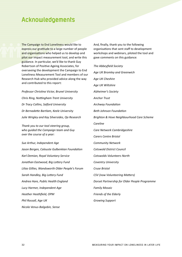## **Acknowledgements**

The Campaign to End Loneliness would like to express our gratitude to a large number of people and organisations who helped us to develop and pilot our impact measurement tool, and write this guidance. In particular, we'd like to thank Guy Robertson of Positive Ageing Associates, for overseeing the development the Campaign to End Loneliness Measurement Tool and members of our Research Hub who provided advice along the way and contributed to this report:

*Professor Christina Victor, Brunel University Chris Ring, Nottingham Trent University Dr Tracy Collins, Salford University Dr Bernadette Bartlam, Keele University Julie Wrigley and Kay Silversides, Qa Research*

*Thank you to our tool steering group, who guided the Campaign team and Guy over the course of a year:*

*Sue Arthur, Independent Age Jason Bergen, Calouste Gulbenkian Foundation Karl Demian, Royal Voluntary Service Jonathan Eastwood, Big Lottery Fund Lilias Gillies, Wandsworth Older People's Forum Sarah Handley, Big Lottery Fund Andrea Hare, Public Health England Lucy Harmer, Independent Age Heather Heathfield, OPM Phil Rossall, Age UK Nicola Venus-Balgobin, Sense*

And, finally, thank you to the following organisations that sent staff to development workshops and webinars, piloted the tool and gave comments on this guidance:

*The Abbeyfield Society Age UK Bromley and Greenwich Age UK Cheshire Age UK Wiltshire Alzheimer's Society Anchor Trust Archway Foundation Beth Johnson Foundation Brighton & Hove Neighbourhood Care Scheme Careline Care Network Cambridgeshire Carers Centre Bristol Community Network Cotswold District Council Cotswolds Volunteers North Coventry University Cruse Bristol CSV (now Volunteering Matters) Dorset Partnership for Older People Programme Family Mosaic Friends of the Elderly Growing Support*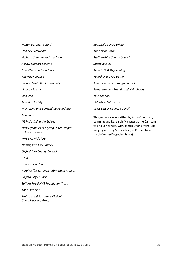*Halton Borough Council Holbeck Elderly Aid Holborn Community Association Jigsaw Support Scheme John Ellerman Foundation Knowsley Council London South Bank University LinkAge Bristol Link Line Macular Society Mentoring and Befriending Foundation Mindings NBFA Assisting the Elderly New Dynamics of Ageing Older Peoples' Reference Group NHS Warwickshire Nottingham City Council Oxfordshire County Council RNIB Rootless Garden Rural Coffee Caravan Information Project Salford City Council Salford Royal NHS Foundation Trust The Silver Line Stafford and Surrounds Clinical Commissioning Group*

*Southville Centre Bristol The Sovini Group Staffordshire County Council Stitchlinks CIC Time to Talk Befriending Together We Are Better Tower Hamlets Borough Council Tower Hamlets Friends and Neighbours Toynbee Hall Volunteer Edinburgh West Sussex County Council*

This guidance was written by Anna Goodman, Learning and Research Manager at the Campaign to End Loneliness, with contributions from Julie Wrigley and Kay Silversides (Qa Research) and Nicola Venus-Balgobin (Sense).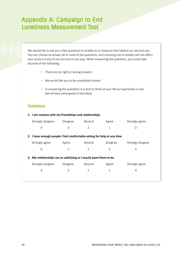## **Appendix A: Campaign to End Loneliness Measurement Tool**

We would like to ask you a few questions to enable us to measure how helpful our services are. You can choose to answer all or none of the questions, and choosing not to answer will not affect your access to any of our services in any way. When answering the questions, you could take account of the following:

- There are no right or wrong answers
- We would like you to be completely honest
- In answering the questions it is best to think of your life as it generally is now (we all have some good or bad days)

### **Questions**

| 1. I am content with my friendships and relationships            |                                                                        |               |                 |                   |  |  |  |
|------------------------------------------------------------------|------------------------------------------------------------------------|---------------|-----------------|-------------------|--|--|--|
| Strongly disagree                                                | <b>Disagree</b>                                                        | Neutral       | Agree           | Strongly agree    |  |  |  |
| 4                                                                | 3                                                                      | $\mathcal{P}$ | 1               | 0                 |  |  |  |
|                                                                  | 2. I have enough people I feel comfortable asking for help at any time |               |                 |                   |  |  |  |
| Strongly agree                                                   | Agree                                                                  | Neutral       | <b>Disagree</b> | Strongly disagree |  |  |  |
| 0                                                                | 1                                                                      | 2             | 3               | 4                 |  |  |  |
| 3. My relationships are as satisfying as I would want them to be |                                                                        |               |                 |                   |  |  |  |
| Strongly disagree                                                | <b>Disagree</b>                                                        | Neutral       | Agree           | Strongly agree    |  |  |  |
| 4                                                                | 3                                                                      |               |                 | O                 |  |  |  |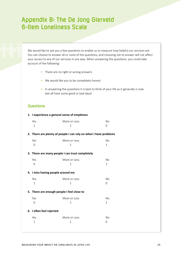## **Appendix B: The De Jong Gierveld 6-Item Loneliness Scale**

We would like to ask you a few questions to enable us to measure how helpful our services are. You can choose to answer all or none of the questions, and choosing not to answer will not affect your access to any of our services in any way. When answering the questions, you could take account of the following:

- There are no right or wrong answers
- We would like you to be completely honest
- In answering the questions it is best to think of your life as it generally is now (we all have some good or bad days)

### **Questions**

| 1. I experience a general sense of emptiness |                                                                  |           |  |  |  |
|----------------------------------------------|------------------------------------------------------------------|-----------|--|--|--|
| Yes                                          | More or Less                                                     | <b>No</b> |  |  |  |
| $\mathbf{1}$                                 | 1                                                                | 0         |  |  |  |
|                                              | 2. There are plenty of people I can rely on when I have problems |           |  |  |  |
| Yes                                          | More or Less                                                     | <b>No</b> |  |  |  |
| $\Omega$                                     | 1                                                                | 1         |  |  |  |
|                                              | 3. There are many people I can trust completely                  |           |  |  |  |
| Yes                                          | More or Less                                                     | No.       |  |  |  |
| $\Omega$                                     | 1                                                                | 1         |  |  |  |
|                                              |                                                                  |           |  |  |  |
| 4. I miss having people around me            |                                                                  |           |  |  |  |
| Yes                                          | More or Less                                                     | <b>No</b> |  |  |  |
| $\mathbf{1}$                                 | 1                                                                | 0         |  |  |  |
| 5. There are enough people I feel close to   |                                                                  |           |  |  |  |
| Yes                                          | More or Less                                                     | <b>No</b> |  |  |  |
| $\Omega$                                     | 1                                                                | 1         |  |  |  |
| 6. I often feel rejected                     |                                                                  |           |  |  |  |
| Yes                                          | More or Less                                                     | <b>No</b> |  |  |  |
| 1                                            | 1                                                                | 0         |  |  |  |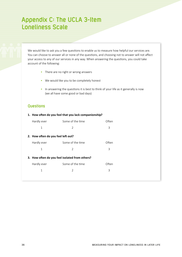## **Appendix C: The UCLA 3-Item Loneliness Scale**

account of the following: **Questions**

We would like to ask you a few questions to enable us to measure how helpful our services are. You can choose to answer all or none of the questions, and choosing not to answer will not affect your access to any of our services in any way. When answering the questions, you could take

- There are no right or wrong answers
- We would like you to be completely honest
- In answering the questions it is best to think of your life as it generally is now (we all have some good or bad days)

| 1. How often do you feel that you lack companionship? |                  |       |  |  |  |  |
|-------------------------------------------------------|------------------|-------|--|--|--|--|
| Hardly ever                                           | Some of the time | Often |  |  |  |  |
| 1                                                     | 2                | 3     |  |  |  |  |
| 2. How often do you feel left out?                    |                  |       |  |  |  |  |
| Hardly ever                                           | Some of the time | Often |  |  |  |  |
| 1                                                     | 2                | 3     |  |  |  |  |
| 3. How often do you feel isolated from others?        |                  |       |  |  |  |  |
| Hardly ever                                           | Some of the time | Often |  |  |  |  |
| 1                                                     | $\overline{2}$   | 3     |  |  |  |  |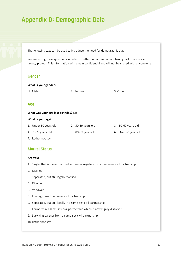## **Appendix D: Demographic Data**

|                                                        |                                                                                        | We are asking these questions in order to better understand who is taking part in our social<br>group/ project. This information will remain confidential and will not be shared with anyone else. |
|--------------------------------------------------------|----------------------------------------------------------------------------------------|----------------------------------------------------------------------------------------------------------------------------------------------------------------------------------------------------|
| Gender                                                 |                                                                                        |                                                                                                                                                                                                    |
| What is your gender?                                   |                                                                                        |                                                                                                                                                                                                    |
| 1. Male                                                | 2. Female                                                                              |                                                                                                                                                                                                    |
| Age                                                    |                                                                                        |                                                                                                                                                                                                    |
| What was your age last birthday? OR                    |                                                                                        |                                                                                                                                                                                                    |
| What is your age?                                      |                                                                                        |                                                                                                                                                                                                    |
| 1. Under 50 years old                                  | 2. 50-59 years old                                                                     | 3. 60-69 years old                                                                                                                                                                                 |
| 4. 70-79 years old                                     | 5. 80-89 years old                                                                     | 6. Over 90 years old                                                                                                                                                                               |
| 7. Rather not say                                      |                                                                                        |                                                                                                                                                                                                    |
| <b>Marital Status</b>                                  |                                                                                        |                                                                                                                                                                                                    |
| Are you:                                               |                                                                                        |                                                                                                                                                                                                    |
|                                                        | 1. Single, that is, never married and never registered in a same-sex civil partnership |                                                                                                                                                                                                    |
| 2. Married                                             |                                                                                        |                                                                                                                                                                                                    |
| 3. Separated, but still legally married                |                                                                                        |                                                                                                                                                                                                    |
| 4. Divorced                                            |                                                                                        |                                                                                                                                                                                                    |
| 5. Widowed                                             |                                                                                        |                                                                                                                                                                                                    |
| 6. In a registered same-sex civil partnership          |                                                                                        |                                                                                                                                                                                                    |
| 7.                                                     | Separated, but still legally in a same-sex civil partnership                           |                                                                                                                                                                                                    |
|                                                        | 8. Formerly in a same-sex civil partnership which is now legally dissolved             |                                                                                                                                                                                                    |
| 9. Surviving partner from a same-sex civil partnership |                                                                                        |                                                                                                                                                                                                    |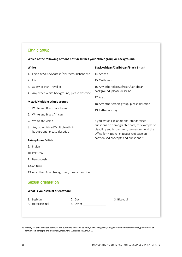### **Ethnic group**

### **Which of the following options best describes your ethnic group or background?**

| White                                                             |          | <b>Black/African/Caribbean/Black British</b>                                                                                              |  |  |
|-------------------------------------------------------------------|----------|-------------------------------------------------------------------------------------------------------------------------------------------|--|--|
| 1. English/Welsh/Scottish/Northern Irish/British                  |          | 14. African                                                                                                                               |  |  |
| 2. Irish                                                          |          | 15. Caribbean                                                                                                                             |  |  |
| 3. Gypsy or Irish Traveller                                       |          | 16. Any other Black/African/Caribbean                                                                                                     |  |  |
| 4. Any other White background, please describe                    |          | background, please describe                                                                                                               |  |  |
|                                                                   |          | 17. Arab                                                                                                                                  |  |  |
| Mixed/Multiple ethnic groups                                      |          | 18. Any other ethnic group, please describe                                                                                               |  |  |
| 5. White and Black Caribbean                                      |          | 19. Rather not say                                                                                                                        |  |  |
| 6. White and Black African                                        |          |                                                                                                                                           |  |  |
| 7. White and Asian                                                |          | If you would like additional standardised                                                                                                 |  |  |
| 8. Any other Mixed/Multiple ethnic<br>background, please describe |          | questions on demographic data, for example on<br>disability and impairment, we recommend the<br>Office for National Statistics webpage on |  |  |
| <b>Asian/Asian British</b>                                        |          | harmonised concepts and questions. <sup>36</sup>                                                                                          |  |  |
| 9. Indian                                                         |          |                                                                                                                                           |  |  |
| 10. Pakistani                                                     |          |                                                                                                                                           |  |  |
| 11. Bangladeshi                                                   |          |                                                                                                                                           |  |  |
| 12. Chinese                                                       |          |                                                                                                                                           |  |  |
| 13. Any other Asian background, please describe                   |          |                                                                                                                                           |  |  |
| <b>Sexual orientation</b>                                         |          |                                                                                                                                           |  |  |
| What is your sexual orientation?                                  |          |                                                                                                                                           |  |  |
| 1. Lesbian                                                        | 2. Gay   | 3. Bisexual                                                                                                                               |  |  |
| 4. Heterosexual                                                   | 5. Other |                                                                                                                                           |  |  |
|                                                                   |          |                                                                                                                                           |  |  |

36 Primary set of harmonised concepts and questions. Available at: http://www.ons.gov.uk/ons/guide-method/harmonisation/primary-set-ofharmonised-concepts-and-questions/index.html [Accessed 30 April 2015]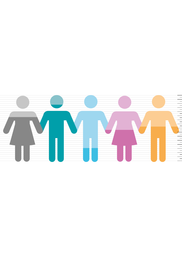